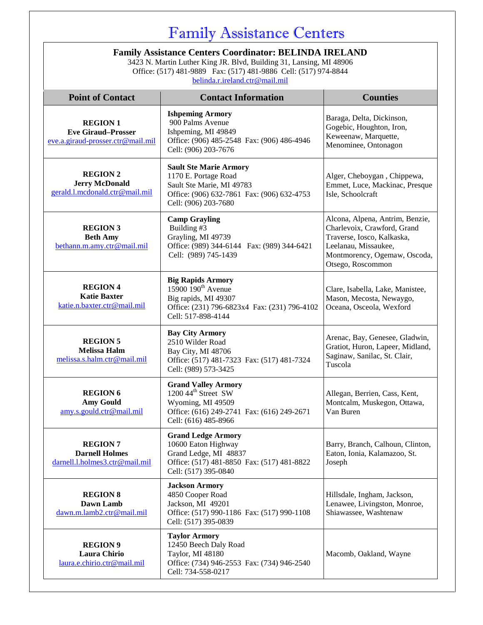### Family Assistance Centers

#### **Family Assistance Centers Coordinator: BELINDA IRELAND**

3423 N. Martin Luther King JR. Blvd, Building 31, Lansing, MI 48906 Office: (517) 481-9889 Fax: (517) 481-9886 Cell: (517) 974-8844 [belinda.r.ireland.ctr@mail.mil](mailto:belinda.r.ireland.ctr@mail.mil)

| <b>Point of Contact</b>                                                           | <b>Contact Information</b>                                                                                                                               | <b>Counties</b>                                                                                                                                                           |
|-----------------------------------------------------------------------------------|----------------------------------------------------------------------------------------------------------------------------------------------------------|---------------------------------------------------------------------------------------------------------------------------------------------------------------------------|
| <b>REGION 1</b><br><b>Eve Giraud-Prosser</b><br>eve.a.giraud-prosser.ctr@mail.mil | <b>Ishpeming Armory</b><br>900 Palms Avenue<br>Ishpeming, MI 49849<br>Office: (906) 485-2548 Fax: (906) 486-4946<br>Cell: (906) 203-7676                 | Baraga, Delta, Dickinson,<br>Gogebic, Houghton, Iron,<br>Keweenaw, Marquette,<br>Menominee, Ontonagon                                                                     |
| <b>REGION 2</b><br><b>Jerry McDonald</b><br>gerald.l.mcdonald.ctr@mail.mil        | <b>Sault Ste Marie Armory</b><br>1170 E. Portage Road<br>Sault Ste Marie, MI 49783<br>Office: (906) 632-7861 Fax: (906) 632-4753<br>Cell: (906) 203-7680 | Alger, Cheboygan, Chippewa,<br>Emmet, Luce, Mackinac, Presque<br>Isle, Schoolcraft                                                                                        |
| <b>REGION 3</b><br><b>Beth Amy</b><br>bethann.m.amy.ctr@mail.mil                  | <b>Camp Grayling</b><br>Building #3<br>Grayling, MI 49739<br>Office: (989) 344-6144  Fax: (989) 344-6421<br>Cell: (989) 745-1439                         | Alcona, Alpena, Antrim, Benzie,<br>Charlevoix, Crawford, Grand<br>Traverse, Iosco, Kalkaska,<br>Leelanau, Missaukee,<br>Montmorency, Ogemaw, Oscoda,<br>Otsego, Roscommon |
| <b>REGION 4</b><br><b>Katie Baxter</b><br>katie.n.baxter.ctr@mail.mil             | <b>Big Rapids Armory</b><br>15900 190 <sup>th</sup> Avenue<br>Big rapids, MI 49307<br>Office: (231) 796-6823x4 Fax: (231) 796-4102<br>Cell: 517-898-4144 | Clare, Isabella, Lake, Manistee,<br>Mason, Mecosta, Newaygo,<br>Oceana, Osceola, Wexford                                                                                  |
| <b>REGION 5</b><br><b>Melissa Halm</b><br>melissa.s.halm.ctr@mail.mil             | <b>Bay City Armory</b><br>2510 Wilder Road<br>Bay City, MI 48706<br>Office: (517) 481-7323 Fax: (517) 481-7324<br>Cell: (989) 573-3425                   | Arenac, Bay, Genesee, Gladwin,<br>Gratiot, Huron, Lapeer, Midland,<br>Saginaw, Sanilac, St. Clair,<br>Tuscola                                                             |
| <b>REGION 6</b><br><b>Amy Gould</b><br>amy.s.gould.ctr@mail.mil                   | <b>Grand Valley Armory</b><br>1200 44 <sup>th</sup> Street SW<br>Wyoming, MI 49509<br>Office: (616) 249-2741 Fax: (616) 249-2671<br>Cell: (616) 485-8966 | Allegan, Berrien, Cass, Kent,<br>Montcalm, Muskegon, Ottawa,<br>Van Buren                                                                                                 |
| <b>REGION 7</b><br><b>Darnell Holmes</b><br>darnell.l.holmes3.ctr@mail.mil        | <b>Grand Ledge Armory</b><br>10600 Eaton Highway<br>Grand Ledge, MI 48837<br>Office: (517) 481-8850 Fax: (517) 481-8822<br>Cell: (517) 395-0840          | Barry, Branch, Calhoun, Clinton,<br>Eaton, Ionia, Kalamazoo, St.<br>Joseph                                                                                                |
| <b>REGION 8</b><br>Dawn Lamb<br>dawn.m.lamb2.ctr@mail.mil                         | <b>Jackson Armory</b><br>4850 Cooper Road<br>Jackson, MI 49201<br>Office: (517) 990-1186 Fax: (517) 990-1108<br>Cell: (517) 395-0839                     | Hillsdale, Ingham, Jackson,<br>Lenawee, Livingston, Monroe,<br>Shiawassee, Washtenaw                                                                                      |
| <b>REGION 9</b><br>Laura Chirio<br>laura.e.chirio.ctr@mail.mil                    | <b>Taylor Armory</b><br>12450 Beech Daly Road<br>Taylor, MI 48180<br>Office: (734) 946-2553 Fax: (734) 946-2540<br>Cell: 734-558-0217                    | Macomb, Oakland, Wayne                                                                                                                                                    |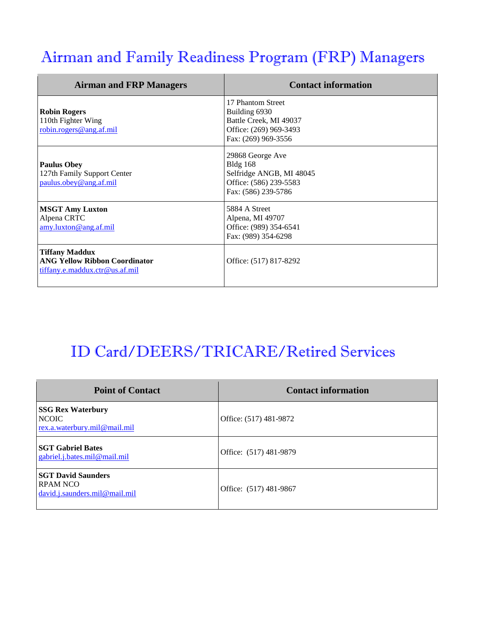# Airman and Family Readiness Program (FRP) Managers

| <b>Airman and FRP Managers</b>                                                                  | <b>Contact information</b>                                                                                       |
|-------------------------------------------------------------------------------------------------|------------------------------------------------------------------------------------------------------------------|
| <b>Robin Rogers</b><br>110th Fighter Wing<br>robin.rogers@ang.af.mil                            | 17 Phantom Street<br>Building 6930<br>Battle Creek, MI 49037<br>Office: (269) 969-3493<br>Fax: (269) 969-3556    |
| <b>Paulus Obey</b><br>127th Family Support Center<br>paulus.obey@ang.af.mil                     | 29868 George Ave<br><b>Bldg</b> 168<br>Selfridge ANGB, MI 48045<br>Office: (586) 239-5583<br>Fax: (586) 239-5786 |
| <b>MSGT Amy Luxton</b><br>Alpena CRTC<br>amy.luxton@ang.af.mil                                  | 5884 A Street<br>Alpena, MI 49707<br>Office: (989) 354-6541<br>Fax: (989) 354-6298                               |
| <b>Tiffany Maddux</b><br><b>ANG Yellow Ribbon Coordinator</b><br>tiffany.e.maddux.ctr@us.af.mil | Office: (517) 817-8292                                                                                           |

# ID Card/DEERS/TRICARE/Retired Services

| <b>Point of Contact</b>                                                  | <b>Contact information</b> |
|--------------------------------------------------------------------------|----------------------------|
| <b>SSG Rex Waterbury</b><br><b>NCOIC</b><br>rex.a.waterbury.mil@mail.mil | Office: (517) 481-9872     |
| <b>SGT Gabriel Bates</b><br>gabriel.j.bates.mil@mail.mil                 | Office: (517) 481-9879     |
| <b>SGT David Saunders</b><br>RPAM NCO<br>david.j.saunders.mil@mail.mil   | Office: (517) 481-9867     |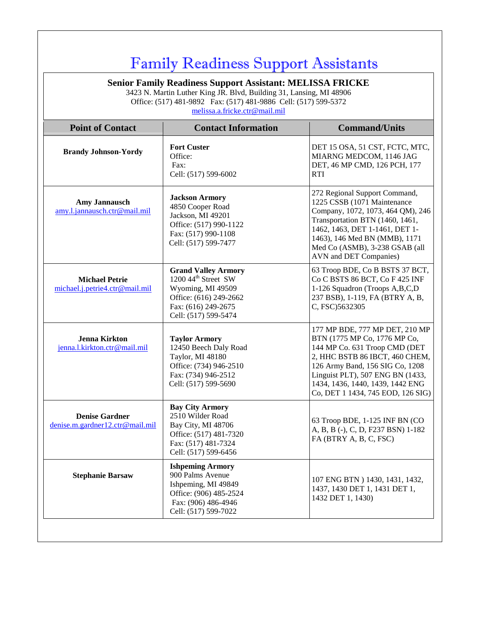## Family Readiness Support Assistants

**Senior Family Readiness Support Assistant: MELISSA FRICKE**

3423 N. Martin Luther King JR. Blvd, Building 31, Lansing, MI 48906 Office: (517) 481-9892 Fax: (517) 481-9886 Cell: (517) 599-5372 [melissa.a.fricke.ctr@mail.mil](mailto:melissa.a.fricke.ctr@mail.mil)

| <b>Point of Contact</b>                                  | <b>Contact Information</b>                                                                                                                                  | <b>Command/Units</b>                                                                                                                                                                                                                                                              |
|----------------------------------------------------------|-------------------------------------------------------------------------------------------------------------------------------------------------------------|-----------------------------------------------------------------------------------------------------------------------------------------------------------------------------------------------------------------------------------------------------------------------------------|
| <b>Brandy Johnson-Yordy</b>                              | <b>Fort Custer</b><br>Office:<br>Fax:<br>Cell: (517) 599-6002                                                                                               | DET 15 OSA, 51 CST, FCTC, MTC,<br>MIARNG MEDCOM, 1146 JAG<br>DET, 46 MP CMD, 126 PCH, 177<br><b>RTI</b>                                                                                                                                                                           |
| <b>Amy Jannausch</b><br>amy.l.jannausch.ctr@mail.mil     | <b>Jackson Armory</b><br>4850 Cooper Road<br>Jackson, MI 49201<br>Office: (517) 990-1122<br>Fax: (517) 990-1108<br>Cell: (517) 599-7477                     | 272 Regional Support Command,<br>1225 CSSB (1071 Maintenance<br>Company, 1072, 1073, 464 QM), 246<br>Transportation BTN (1460, 1461,<br>1462, 1463, DET 1-1461, DET 1-<br>1463), 146 Med BN (MMB), 1171<br>Med Co (ASMB), 3-238 GSAB (all<br>AVN and DET Companies)               |
| <b>Michael Petrie</b><br>michael.j.petrie4.ctr@mail.mil  | <b>Grand Valley Armory</b><br>1200 44 <sup>th</sup> Street SW<br>Wyoming, MI 49509<br>Office: (616) 249-2662<br>Fax: (616) 249-2675<br>Cell: (517) 599-5474 | 63 Troop BDE, Co B BSTS 37 BCT,<br>Co C BSTS 86 BCT, Co F 425 INF<br>1-126 Squadron (Troops A,B,C,D)<br>237 BSB), 1-119, FA (BTRY A, B,<br>C, FSC)5632305                                                                                                                         |
| <b>Jenna Kirkton</b><br>jenna.l.kirkton.ctr@mail.mil     | <b>Taylor Armory</b><br>12450 Beech Daly Road<br>Taylor, MI 48180<br>Office: (734) 946-2510<br>Fax: (734) 946-2512<br>Cell: (517) 599-5690                  | 177 MP BDE, 777 MP DET, 210 MP<br>BTN (1775 MP Co, 1776 MP Co,<br>144 MP Co. 631 Troop CMD (DET<br>2, HHC BSTB 86 IBCT, 460 CHEM,<br>126 Army Band, 156 SIG Co, 1208<br>Linguist PLT), 507 ENG BN (1433,<br>1434, 1436, 1440, 1439, 1442 ENG<br>Co, DET 1 1434, 745 EOD, 126 SIG) |
| <b>Denise Gardner</b><br>denise.m.gardner12.ctr@mail.mil | <b>Bay City Armory</b><br>2510 Wilder Road<br>Bay City, MI 48706<br>Office: (517) 481-7320<br>Fax: (517) 481-7324<br>Cell: (517) 599-6456                   | 63 Troop BDE, 1-125 INF BN (CO<br>A, B, B (-), C, D, F237 BSN) 1-182<br>FA (BTRY A, B, C, FSC)                                                                                                                                                                                    |
| <b>Stephanie Barsaw</b>                                  | <b>Ishpeming Armory</b><br>900 Palms Avenue<br>Ishpeming, MI 49849<br>Office: (906) 485-2524<br>Fax: (906) 486-4946<br>Cell: (517) 599-7022                 | 107 ENG BTN ) 1430, 1431, 1432,<br>1437, 1430 DET 1, 1431 DET 1,<br>1432 DET 1, 1430)                                                                                                                                                                                             |